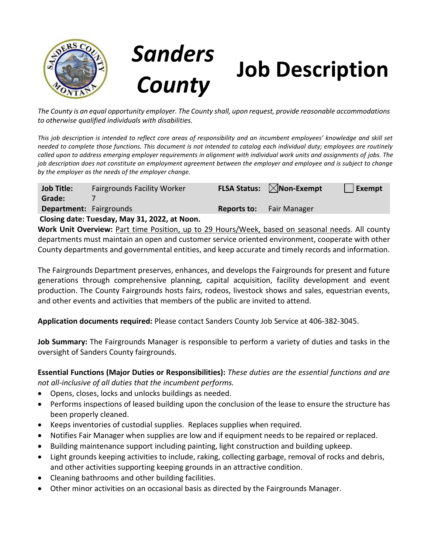

## *Sanders*  **Job Description**

*The County is an equal opportunity employer. The County shall, upon request, provide reasonable accommodations to otherwise qualified individuals with disabilities.*

*This job description is intended to reflect core areas of responsibility and an incumbent employees' knowledge and skill set needed to complete those functions. This document is not intended to catalog each individual duty; employees are routinely called upon to address emerging employer requirements in alignment with individual work units and assignments of jobs. The job description does not constitute an employment agreement between the employer and employee and is subject to change by the employer as the needs of the employer change.*

| <b>Job Title:</b>                             | <b>Fairgrounds Facility Worker</b> |             | <b>FLSA Status:</b> $\boxtimes$ <b>Non-Exempt</b> | Exempt |
|-----------------------------------------------|------------------------------------|-------------|---------------------------------------------------|--------|
| Grade:                                        |                                    |             |                                                   |        |
| <b>Department:</b> Fairgrounds                |                                    | Reports to: | <b>Fair Manager</b>                               |        |
| Closing date: Tuesday, May 31, 2022, at Noon. |                                    |             |                                                   |        |

**Work Unit Overview:** Part time Position, up to 29 Hours/Week, based on seasonal needs. All county departments must maintain an open and customer service oriented environment, cooperate with other County departments and governmental entities, and keep accurate and timely records and information.

The Fairgrounds Department preserves, enhances, and develops the Fairgrounds for present and future generations through comprehensive planning, capital acquisition, facility development and event production. The County Fairgrounds hosts fairs, rodeos, livestock shows and sales, equestrian events, and other events and activities that members of the public are invited to attend.

**Application documents required:** Please contact Sanders County Job Service at 406-382-3045.

**Job Summary:** The Fairgrounds Manager is responsible to perform a variety of duties and tasks in the oversight of Sanders County fairgrounds.

**Essential Functions (Major Duties or Responsibilities):** *These duties are the essential functions and are not all-inclusive of all duties that the incumbent performs.*

- Opens, closes, locks and unlocks buildings as needed.
- Performs inspections of leased building upon the conclusion of the lease to ensure the structure has been properly cleaned.
- Keeps inventories of custodial supplies. Replaces supplies when required.
- Notifies Fair Manager when supplies are low and if equipment needs to be repaired or replaced.
- Building maintenance support including painting, light construction and building upkeep.
- Light grounds keeping activities to include, raking, collecting garbage, removal of rocks and debris, and other activities supporting keeping grounds in an attractive condition.
- Cleaning bathrooms and other building facilities.
- Other minor activities on an occasional basis as directed by the Fairgrounds Manager.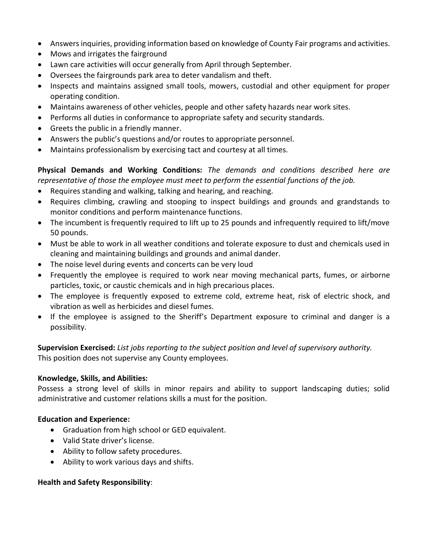- Answers inquiries, providing information based on knowledge of County Fair programs and activities.
- Mows and irrigates the fairground
- Lawn care activities will occur generally from April through September.
- Oversees the fairgrounds park area to deter vandalism and theft.
- Inspects and maintains assigned small tools, mowers, custodial and other equipment for proper operating condition.
- Maintains awareness of other vehicles, people and other safety hazards near work sites.
- Performs all duties in conformance to appropriate safety and security standards.
- Greets the public in a friendly manner.
- Answers the public's questions and/or routes to appropriate personnel.
- Maintains professionalism by exercising tact and courtesy at all times.

**Physical Demands and Working Conditions:** *The demands and conditions described here are representative of those the employee must meet to perform the essential functions of the job.*

- Requires standing and walking, talking and hearing, and reaching.
- Requires climbing, crawling and stooping to inspect buildings and grounds and grandstands to monitor conditions and perform maintenance functions.
- The incumbent is frequently required to lift up to 25 pounds and infrequently required to lift/move 50 pounds.
- Must be able to work in all weather conditions and tolerate exposure to dust and chemicals used in cleaning and maintaining buildings and grounds and animal dander.
- The noise level during events and concerts can be very loud
- Frequently the employee is required to work near moving mechanical parts, fumes, or airborne particles, toxic, or caustic chemicals and in high precarious places.
- The employee is frequently exposed to extreme cold, extreme heat, risk of electric shock, and vibration as well as herbicides and diesel fumes.
- If the employee is assigned to the Sheriff's Department exposure to criminal and danger is a possibility.

**Supervision Exercised:** *List jobs reporting to the subject position and level of supervisory authority.* This position does not supervise any County employees.

## **Knowledge, Skills, and Abilities:**

Possess a strong level of skills in minor repairs and ability to support landscaping duties; solid administrative and customer relations skills a must for the position.

## **Education and Experience:**

- Graduation from high school or GED equivalent.
- Valid State driver's license.
- Ability to follow safety procedures.
- Ability to work various days and shifts.

## **Health and Safety Responsibility**: